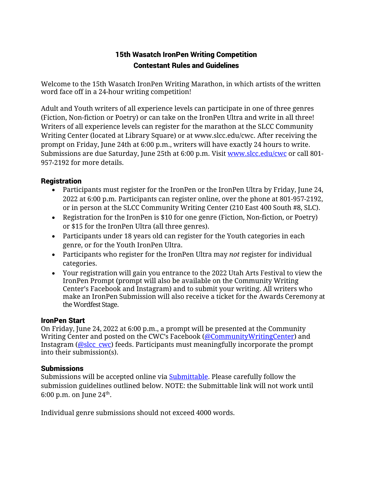# 15th Wasatch IronPen Writing Competition Contestant Rules and Guidelines

Welcome to the 15th Wasatch IronPen Writing Marathon, in which artists of the written word face off in a 24-hour writing competition!

Adult and Youth writers of all experience levels can participate in one of three genres (Fiction, Non-fiction or Poetry) or can take on the IronPen Ultra and write in all three! Writers of all experience levels can register for the marathon at the SLCC Community Writing Center (located at Library Square) or at www.slcc.edu/cwc. After receiving the prompt on Friday, June 24th at 6:00 p.m., writers will have exactly 24 hours to write. Submissions are due Saturday, June 25th at 6:00 p.m. Visit www.slcc.edu/cwc or call 801-957-2192 for more details.

## **Registration**

- Participants must register for the IronPen or the IronPen Ultra by Friday, June 24, 2022 at 6:00 p.m. Participants can register online, over the phone at 801-957-2192, or in person at the SLCC Community Writing Center (210 East 400 South #8, SLC).
- Registration for the IronPen is \$10 for one genre (Fiction, Non-fiction, or Poetry) or \$15 for the IronPen Ultra (all three genres).
- Participants under 18 years old can register for the Youth categories in each genre, or for the Youth IronPen Ultra.
- Participants who register for the IronPen Ultra may *not* register for individual categories.
- Your registration will gain you entrance to the 2022 Utah Arts Festival to view the IronPen Prompt (prompt will also be available on the Community Writing Center's Facebook and Instagram) and to submit your writing. All writers who make an IronPen Submission will also receive a ticket for the Awards Ceremony at the Wordfest Stage.

#### IronPen Start

On Friday, June 24, 2022 at 6:00 p.m., a prompt will be presented at the Community Writing Center and posted on the CWC's Facebook (@CommunityWritingCenter) and Instagram (@slcc\_cwc) feeds. Participants must meaningfully incorporate the prompt into their submission(s).

#### Submissions

Submissions will be accepted online via Submittable. Please carefully follow the submission guidelines outlined below. NOTE: the Submittable link will not work until 6:00 p.m. on June  $24^{\text{th}}$ .

Individual genre submissions should not exceed 4000 words.